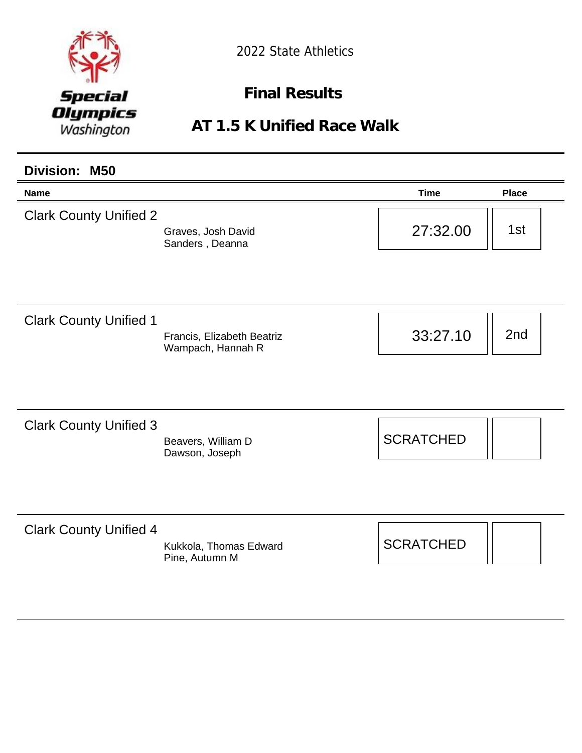

**Final Results** 

**AT 1.5 K Unified Race Walk**

| <b>Division: M50</b>          |                                                 |                  |              |
|-------------------------------|-------------------------------------------------|------------------|--------------|
| <b>Name</b>                   |                                                 | <b>Time</b>      | <b>Place</b> |
| <b>Clark County Unified 2</b> | Graves, Josh David<br>Sanders, Deanna           | 27:32.00         | 1st          |
| <b>Clark County Unified 1</b> | Francis, Elizabeth Beatriz<br>Wampach, Hannah R | 33:27.10         | 2nd          |
| <b>Clark County Unified 3</b> | Beavers, William D<br>Dawson, Joseph            | <b>SCRATCHED</b> |              |
| <b>Clark County Unified 4</b> | Kukkola, Thomas Edward<br>Pine, Autumn M        | <b>SCRATCHED</b> |              |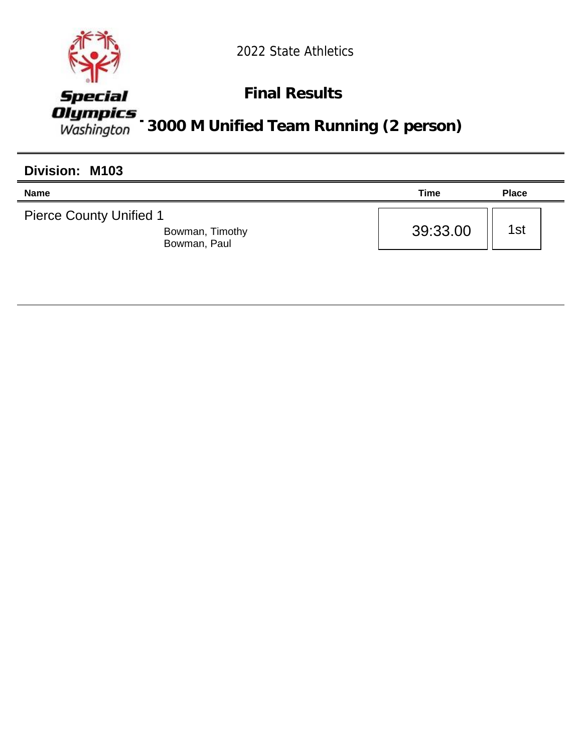

### **Final Results**

*Alympics*<br>Washington 3000 M Unified Team Running (2 person)

| Division: M103                                                    |          |              |
|-------------------------------------------------------------------|----------|--------------|
| <b>Name</b>                                                       | Time     | <b>Place</b> |
| <b>Pierce County Unified 1</b><br>Bowman, Timothy<br>Bowman, Paul | 39:33.00 | 1st          |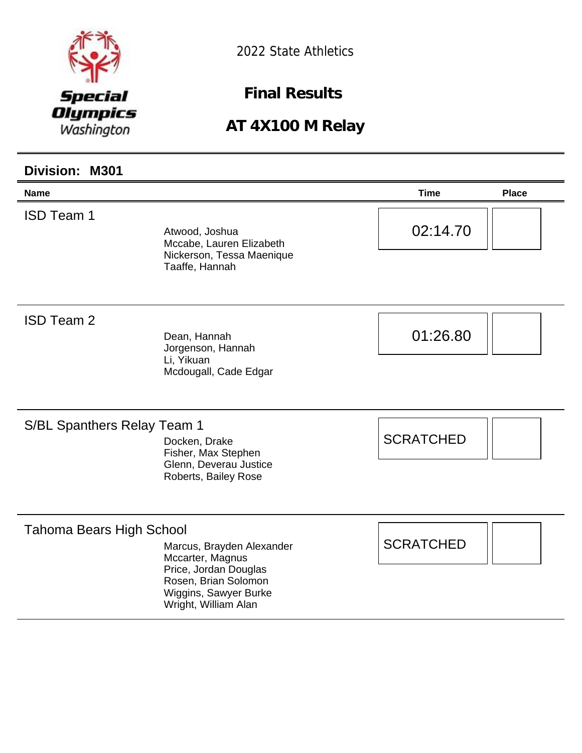

**Final Results** 

| Division: M301                     |                                                                                                                                                 |                  |              |
|------------------------------------|-------------------------------------------------------------------------------------------------------------------------------------------------|------------------|--------------|
| <b>Name</b>                        |                                                                                                                                                 | <b>Time</b>      | <b>Place</b> |
| <b>ISD Team 1</b>                  | Atwood, Joshua<br>Mccabe, Lauren Elizabeth<br>Nickerson, Tessa Maenique<br>Taaffe, Hannah                                                       | 02:14.70         |              |
| <b>ISD Team 2</b>                  | Dean, Hannah<br>Jorgenson, Hannah<br>Li, Yikuan<br>Mcdougall, Cade Edgar                                                                        | 01:26.80         |              |
| <b>S/BL Spanthers Relay Team 1</b> | Docken, Drake<br>Fisher, Max Stephen<br>Glenn, Deverau Justice<br>Roberts, Bailey Rose                                                          | <b>SCRATCHED</b> |              |
| <b>Tahoma Bears High School</b>    | Marcus, Brayden Alexander<br>Mccarter, Magnus<br>Price, Jordan Douglas<br>Rosen, Brian Solomon<br>Wiggins, Sawyer Burke<br>Wright, William Alan | <b>SCRATCHED</b> |              |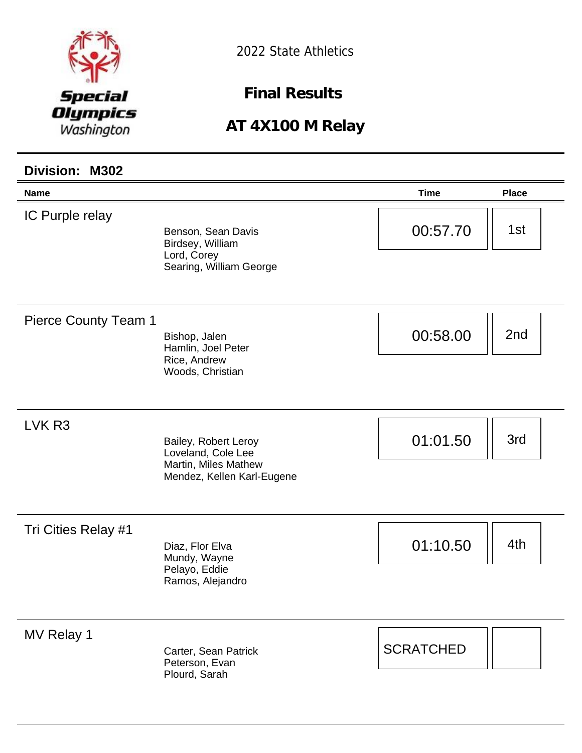

**Final Results** 

| <b>Division: M302</b>       |                                                                                                  |                  |                 |
|-----------------------------|--------------------------------------------------------------------------------------------------|------------------|-----------------|
| <b>Name</b>                 |                                                                                                  | <b>Time</b>      | <b>Place</b>    |
| IC Purple relay             | Benson, Sean Davis<br>Birdsey, William<br>Lord, Corey<br>Searing, William George                 | 00:57.70         | 1st             |
| <b>Pierce County Team 1</b> | Bishop, Jalen<br>Hamlin, Joel Peter<br>Rice, Andrew<br>Woods, Christian                          | 00:58.00         | 2 <sub>nd</sub> |
| LVK <sub>R3</sub>           | Bailey, Robert Leroy<br>Loveland, Cole Lee<br>Martin, Miles Mathew<br>Mendez, Kellen Karl-Eugene | 01:01.50         | 3rd             |
| Tri Cities Relay #1         | Diaz, Flor Elva<br>Mundy, Wayne<br>Pelayo, Eddie<br>Ramos, Alejandro                             | 01:10.50         | 4th             |
| MV Relay 1                  | Carter, Sean Patrick<br>Peterson, Evan<br>Plourd, Sarah                                          | <b>SCRATCHED</b> |                 |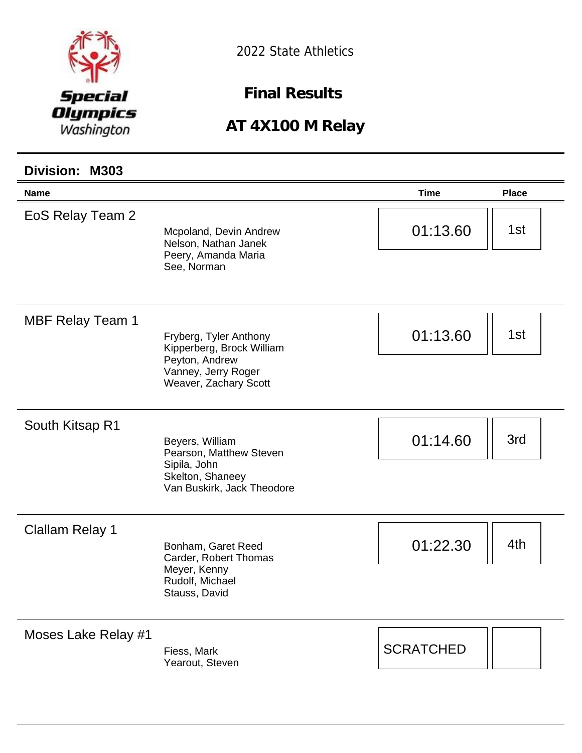

**Final Results** 

| Division: M303          |                                                                                                                       |                  |              |
|-------------------------|-----------------------------------------------------------------------------------------------------------------------|------------------|--------------|
| <b>Name</b>             |                                                                                                                       | <b>Time</b>      | <b>Place</b> |
| EoS Relay Team 2        | Mcpoland, Devin Andrew<br>Nelson, Nathan Janek<br>Peery, Amanda Maria<br>See, Norman                                  | 01:13.60         | 1st          |
| <b>MBF Relay Team 1</b> | Fryberg, Tyler Anthony<br>Kipperberg, Brock William<br>Peyton, Andrew<br>Vanney, Jerry Roger<br>Weaver, Zachary Scott | 01:13.60         | 1st          |
| South Kitsap R1         | Beyers, William<br>Pearson, Matthew Steven<br>Sipila, John<br>Skelton, Shaneey<br>Van Buskirk, Jack Theodore          | 01:14.60         | 3rd          |
| <b>Clallam Relay 1</b>  | Bonham, Garet Reed<br>Carder, Robert Thomas<br>Meyer, Kenny<br>Rudolf, Michael<br>Stauss, David                       | 01:22.30         | 4th          |
| Moses Lake Relay #1     | Fiess, Mark<br>Yearout, Steven                                                                                        | <b>SCRATCHED</b> |              |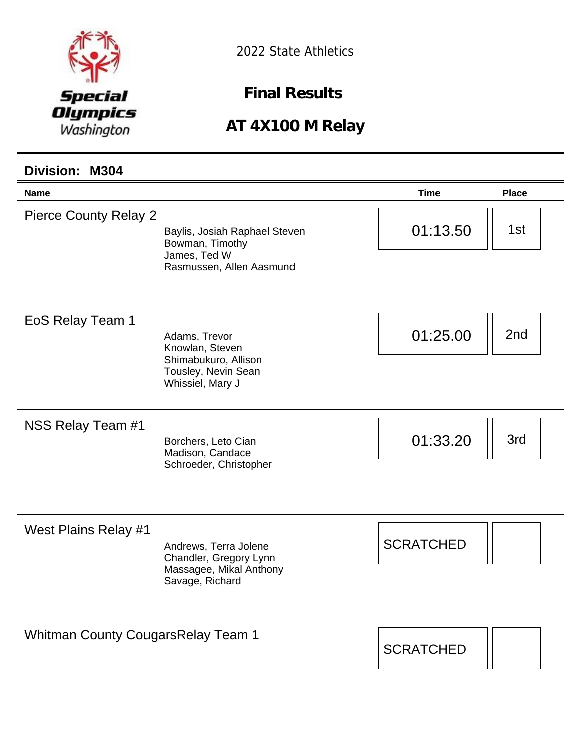

**Final Results** 

#### **AT 4X100 M Relay**

### **Name Time Place Division: M304** Pierce County Relay 2 Baylis, Josiah Raphael Steven Bowman, Timothy James, Ted W Rasmussen, Allen Aasmund  $01:13.50$  || 1st EoS Relay Team 1 Adams, Trevor Knowlan, Steven Shimabukuro, Allison Tousley, Nevin Sean Whissiel, Mary J  $01:25.00$  | 2nd NSS Relay Team #1 Borchers, Leto Cian Madison, Candace Schroeder, Christopher  $01:33.20$  | 3rd West Plains Relay #1 Andrews, Terra Jolene Chandler, Gregory Lynn Massagee, Mikal Anthony Savage, Richard **SCRATCHED** Whitman County CougarsRelay Team 1 **SCRATCHED**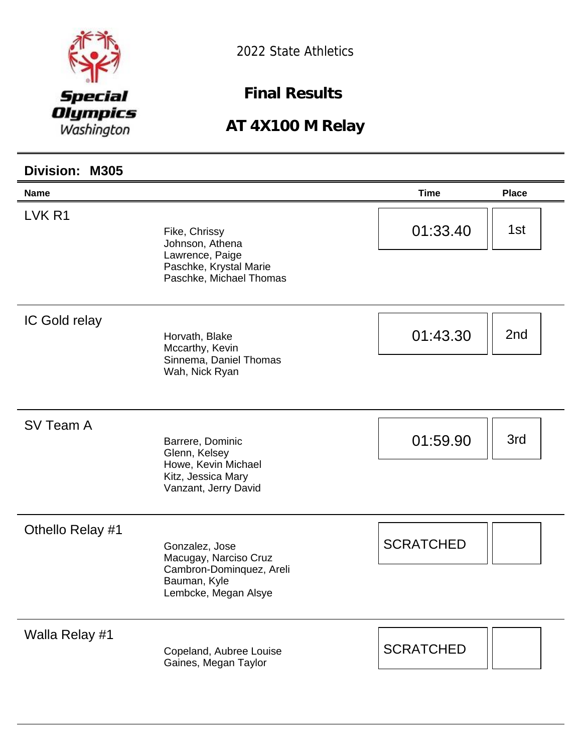

**Final Results** 

| Division: M305    |                                                                                                             |                  |              |
|-------------------|-------------------------------------------------------------------------------------------------------------|------------------|--------------|
| <b>Name</b>       |                                                                                                             | <b>Time</b>      | <b>Place</b> |
| LVK <sub>R1</sub> | Fike, Chrissy<br>Johnson, Athena<br>Lawrence, Paige<br>Paschke, Krystal Marie<br>Paschke, Michael Thomas    | 01:33.40         | 1st          |
| IC Gold relay     | Horvath, Blake<br>Mccarthy, Kevin<br>Sinnema, Daniel Thomas<br>Wah, Nick Ryan                               | 01:43.30         | 2nd          |
| SV Team A         | Barrere, Dominic<br>Glenn, Kelsey<br>Howe, Kevin Michael<br>Kitz, Jessica Mary<br>Vanzant, Jerry David      | 01:59.90         | 3rd          |
| Othello Relay #1  | Gonzalez, Jose<br>Macugay, Narciso Cruz<br>Cambron-Dominquez, Areli<br>Bauman, Kyle<br>Lembcke, Megan Alsye | <b>SCRATCHED</b> |              |
| Walla Relay #1    | Copeland, Aubree Louise<br>Gaines, Megan Taylor                                                             | <b>SCRATCHED</b> |              |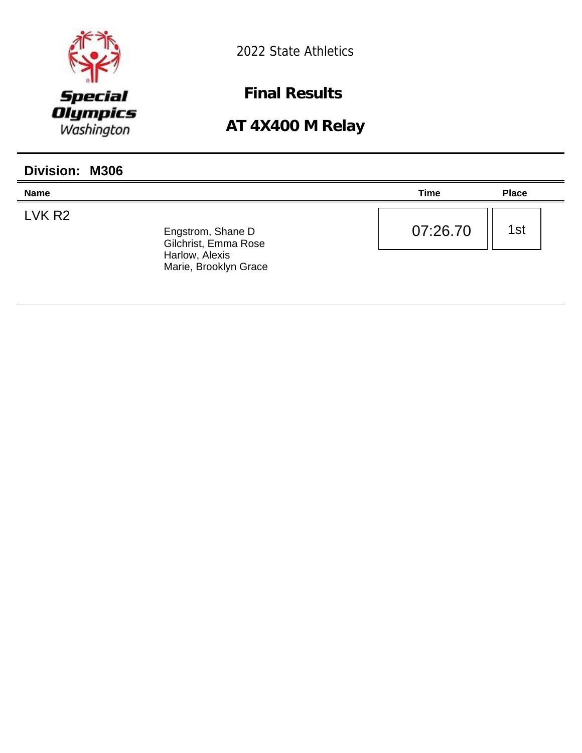

**Final Results** 

| <b>Division: M306</b> |                                                                                      |          |              |
|-----------------------|--------------------------------------------------------------------------------------|----------|--------------|
| <b>Name</b>           |                                                                                      | Time     | <b>Place</b> |
| LVK R <sub>2</sub>    | Engstrom, Shane D<br>Gilchrist, Emma Rose<br>Harlow, Alexis<br>Marie, Brooklyn Grace | 07:26.70 | 1st          |